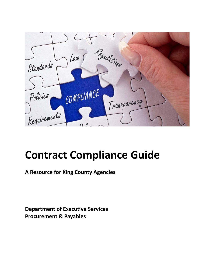

**A Resource for King County Agencies**

**Department of Executive Services Procurement & Payables**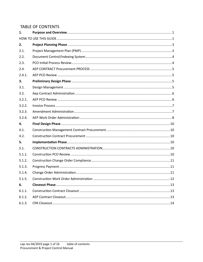# **TABLE OF CONTENTS**

| 1.     |  |  |
|--------|--|--|
|        |  |  |
| 2.     |  |  |
| 2.1.   |  |  |
| 2.2.   |  |  |
| 2.3.   |  |  |
| 2.4.   |  |  |
| 2.4.1. |  |  |
| 3.     |  |  |
| 3.1.   |  |  |
| 3.2.   |  |  |
| 3.2.1. |  |  |
| 3.2.2. |  |  |
| 3.2.3. |  |  |
| 3.2.4. |  |  |
| 4.     |  |  |
| 4.1.   |  |  |
| 4.2.   |  |  |
| 5.     |  |  |
| 5.1.   |  |  |
| 5.1.1. |  |  |
| 5.1.2. |  |  |
| 5.1.3. |  |  |
| 5.1.4. |  |  |
| 5.1.5. |  |  |
| 6.     |  |  |
| 6.1.1. |  |  |
| 6.1.2. |  |  |
| 6.1.3. |  |  |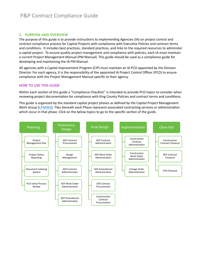#### <span id="page-2-0"></span>**1. PURPOSE AND OVERVIEW**

The purpose of this guide is to provide instructions to Implementing Agencies (IA) on project control and contract compliance process for Capital Projects with compliance with Executive Policies and contract terms and conditions. It includes best practices, standard practices, and links to the required resources to administer a capital project. To ensure quality project management and compliance with policies, each IA must maintain a current Project Management Manual (PM Manual). This guide should be used as a compliance guide for developing and maintaining the IA PM Manual.

All agencies with a Capital Improvement Program (CIP) must maintain an IA PCO appointed by the Division Director. For each agency, it is the responsibility of the appointed IA Project Control Officer (PCO) to ensure compliance with the Project Management Manual specific to their agency.

# <span id="page-2-1"></span>HOW TO USE THIS GUIDE

Within each section of this guide a "Compliance Checklist" is intended to provide PCO topics to consider when reviewing project documentation for compliance with King County Policies and contract terms and conditions.

This guide is organized by the standard capital project phases as defined by the Capital Project Management Work Group [\(CPMWG\)](https://kc1.sharepoint.com/sites/DNRP/projects/cpm/Pages/pm-tools.aspx#phases). Tiles beneath each Phase represent associated contracting services or administration which occur in that phase. Click on the below topics to go to the specific section of the guide.

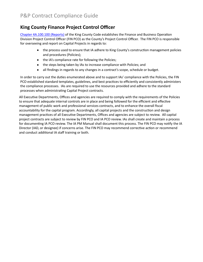# **King County Finance Project Control Officer**

[Chapter 4A.100.100 \(Reports\)](https://www.kingcounty.gov/council/legislation/kc_code/07_Title_4A.aspx) of the King County Code establishes the Finance and Business Operation Division Project Control Officer (FIN PCO) as the County's Project Control Officer. The FIN PCO is responsible for overseeing and report on Capital Projects in regards to:

- the process used to ensure that IA adhere to King County's construction management policies and procedures (Policies);
- the IA's compliance rate for following the Policies;
- the steps being taken by IAs to increase compliance with Policies; and
- all findings in regards to any changes in a contract's scope, schedule or budget.

In order to carry out the duties enumerated above and to support IAs' compliance with the Policies, the FIN PCO established standard templates, guidelines, and best practices to efficiently and consistently administers the compliance processes. IAs are required to use the resources provided and adhere to the standard processes when administrating Capital Project contracts.

All Executive Departments, Offices and agencies are required to comply with the requirements of the Policies to ensure that adequate internal controls are in place and being followed for the efficient and effective management of public work and professional services contracts, and to enhance the overall fiscal accountability for the capital program. Accordingly, all capital projects and the construction and design management practices of all Executive Departments, Offices and agencies are subject to review. All capital project contracts are subject to review by FIN PCO and IA PCO review. IAs shall create and maintain a process for documenting IA PCO review. The IA PM Manual shall document this process. The FIN PCO may notify the IA Director (IAD, or designee) if concerns arise. The FIN PCO may recommend corrective action or recommend and conduct additional IA staff training or both.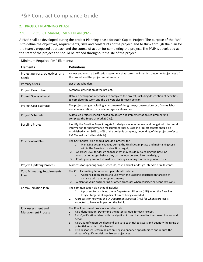### <span id="page-4-0"></span>**2. PROJECT PLANNING PHASE**

#### <span id="page-4-2"></span><span id="page-4-1"></span>2.1. PROJECT MANAGEMENT PLAN (PMP)

A PMP shall be developed during the project Planning phase for each Capital Project. The purpose of the PMP is to define the objectives, requirements, risks and constraints of the project, and to think through the plan for the team's proposed approach and the course of action for completing the project. The PMP is developed at the start of the project and should be refined throughout the life of the project.

| Minimum Required PMP Elements:                   |                                                                                                                                                                                                                                                                                                                                                                                                                                                                                                                            |  |  |
|--------------------------------------------------|----------------------------------------------------------------------------------------------------------------------------------------------------------------------------------------------------------------------------------------------------------------------------------------------------------------------------------------------------------------------------------------------------------------------------------------------------------------------------------------------------------------------------|--|--|
| <b>Elements</b>                                  | <b>Definitions</b>                                                                                                                                                                                                                                                                                                                                                                                                                                                                                                         |  |  |
| Project purpose, objectives, and<br>needs        | A clear and concise justification statement that states the intended outcomes/objectives of<br>the project and the project requirements.                                                                                                                                                                                                                                                                                                                                                                                   |  |  |
| <b>Primary Users</b>                             | List of stakeholders.                                                                                                                                                                                                                                                                                                                                                                                                                                                                                                      |  |  |
| <b>Project Description</b>                       | A general description of the project.                                                                                                                                                                                                                                                                                                                                                                                                                                                                                      |  |  |
| Project Scope of Work                            | Detailed description of services to complete the project, including description of activities<br>to complete the work and the deliverables for each activity.                                                                                                                                                                                                                                                                                                                                                              |  |  |
| Project Cost Estimate                            | The project budget including an estimate of design cost, construction cost, County labor<br>and administration cost, and contingency allowance.                                                                                                                                                                                                                                                                                                                                                                            |  |  |
| Project Schedule                                 | A detailed project schedule based on design and implementation requirements to<br>complete the Scope of Work (SOW).                                                                                                                                                                                                                                                                                                                                                                                                        |  |  |
| <b>Baseline Project</b>                          | Identify the Baseline Project targets for design scope, schedule, and budget with technical<br>information for performance measurement basis. Baseline Project targets should be<br>established when 30% to 40% of the design is complete, depending of the project (refer to<br>PM Manual for further details).                                                                                                                                                                                                           |  |  |
| <b>Cost Control Plan</b>                         | The Cost Control plan should include a process for:<br>Managing design changes during the Final Design phase and maintaining costs<br>1.<br>within the Baseline construction target;<br>Approval level for design changes that may result in exceeding the Baseline<br>2.<br>construction target before they can be incorporated into the design;<br>Contingency amount drawdown tracking including risk management costs.<br>3.                                                                                           |  |  |
| <b>Project Updating Process</b>                  | A process for updating scope, schedule, cost, and risk at design intervals or milestones.                                                                                                                                                                                                                                                                                                                                                                                                                                  |  |  |
| <b>Cost Estimating Requirements</b><br>Plan      | The Cost Estimating Requirement plan should include:<br>A reconciliation process to use when the Baseline construction target is at<br>1.<br>variance with the design estimates;<br>A plan for value engineering or other processes when considering scope revisions.<br>2.                                                                                                                                                                                                                                                |  |  |
| <b>Communication Plan</b>                        | The communication plan should include:<br>A process for notifying the IA Department Director (IAD) when the Baseline<br>1.<br>Project target is at significant risk of being exceeded.<br>A process for notifying the IA Department Director (IAD) for when a project is<br>2.<br>expected to have an impact on the Public.                                                                                                                                                                                                |  |  |
| Risk Assessment and<br><b>Management Process</b> | The Risk Assessment process should include:<br>Risk Identification: Determine the potential risks for each Project.<br>1.<br>Risk Qualification: Identify those significant risks that need further quantification and<br>2.<br>action.<br>Risk Quantification: Analyze and evaluate each risk to assess and quantify the range of<br>3.<br>potential impacts to the Project.<br>Risk Response: Determine action steps to enhance opportunities and reduce the<br>4.<br>threat of significant risks to Project objectives. |  |  |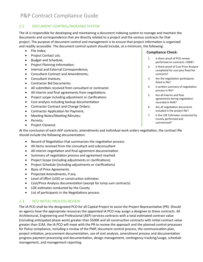# <span id="page-5-0"></span>2.2. DOCUMENT CONTROL/INDEXING SYSTEM

The IA is responsible for developing and maintaining a document indexing system to manage and maintain the documents and correspondence that are directly related to a project and the various contracts for that project. The purpose of document control and management is to ensure that project information is organized and readily accessible. The document control system should include, at a minimum, the following:

- File Index;
- Project Contact List;
- Budget and Schedule;
- Project Planning Information;
- Internal and External Correspondence;
- Consultant Contract and Amendments;
- Consultant Invoices;
- Contractor Bid Documents;
- All submitals received from consultant or contractor
- All interim and final agreements from negotiations
- Project scope including adjustment or clarifications
- Cost analysis including backup documentation
- Contractor Contract and Change Orders;
- Contractor Application for Payment;
- Meeting Notes/Meeting Minutes;
- Permits;
- Project Closeout.

At the conclusion of each AEP contracts, amendments and individual work orders negotiation, the contract file should include the following documentation:

- Record of Negotiation that summarizes the negotiation process
- All items received from the consultant and subconsultant
- All interim negotiation and final agreement documentation
- Summary of negotiation process and agreement reached
- Project Scope (including adjustments or clarifications)
- Project Schedule (including adjustments or clarifications)
- Basis of Price Agreements
- Projected Amendments, if any
- Level of Effort (LOE) or construction estimates
- Cost/Price Analysis documentation (except for lump sum contracts)
- LOE estimates conducted by the County
- List of participants in the Negotiations process

# <span id="page-5-1"></span>2.3. PCO INITIAL PROCESS REVIEW

The IA PCO shall be the designated PCO for all Capital Project to assist the Project Representative (PR). Should an agency have the appropriate resources the appointed IA PCO may assign a designee to these contracts. All Architectural, Engineering and Professional (AEP) services contracts with a total estimated contract value (including anticipated phase work) greater than \$500K and all construction contracts with initial contract value greater than \$1M, the IA PCO will meet with the PR to review the approach and the planned control processes for Policy compliance, including a review of the PMP, document control process, the communication plan, project initiation, procurement documentation, use of cost analysis, amendment process and documentation progress payment processing and documentation, design management, contingency tracking/usage, schedule management, and management reporting.

- 1. Is there proof of PCO review performed on contracts >500K?
- 2. Is there proof of Cost Price Analysis completed for cost plus fixed fee contracts?
- 3. Are the negotiation participants listed in file?
- 4. Is written summary of negotiation process in file?
- 5. Are all interim and final agreements during negotiation recorded in RoN?
- 6. Are all negotiation documents included in the project file?
- 7. Is the LOE Estimates conducted by County performed and summarized?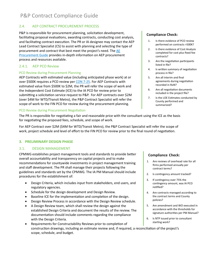# <span id="page-6-0"></span>2.4. AEP CONTRACT PROCUREMENT PROCESS

P&P is responsible for procurement planning, solicitation development, facilitating proposal evaluations, awarding contracts, conducting cost analysis, and facilitating contract execution. The PR or IA designee may contact the AEP Lead Contract Specialist (CS) to assist with planning and selecting the type of procurement and contract that best meet the project's need. The AE Procurement Guide provides in-depth information on AEP procurement process and resources available.

### <span id="page-6-1"></span>2.4.1. AEP PCO Review

#### PCO Review during Procurement Planning

AEP Contracts with estimated value (including anticipated phase work) at or over \$500K requires a PCO review per CON 7-25. For AEP Contracts with estimated value from \$500K to \$2M, the PR will refer the scope of work and the Independent Cost Estimate (ICE) to the IA PCO for review prior to submitting a solicitation service request to P&P. For AEP contracts over \$2M (over \$4M for WTD/Transit Metro), the P&P Contract Specialist will refer the scope of work to the FIN PCO for review during the procurement planning.

#### PCO Review during Procurement Negotiation

The PR is responsible for negotiating a fair and reasonable price with the consultant using the ICE as the basis for negotiating the proposed fees, schedule, and scope of work.

For AEP Contract over \$2M (\$4M for WTD/Transit Metro), the P&P Contract Specialist will refer the scope of work, project schedule and level of effort to the FIN PCO for review prior to the final round of negotiation.

#### <span id="page-6-2"></span>**3. PRELIMINARY DESIGN PHASE**

#### <span id="page-6-3"></span>3.1. DESIGN MANAGEMENT

<span id="page-6-4"></span>CPMWG establishes project management tools and standards to provide beter overall accountability and transparency on capital projects and to make recommendations for countywide investments in project management training and staff development. The PR shall manage their projects following the guidelines and standards set by the CPMWG. The IA PM Manual should include procedures for the establishment of:

- Design Criteria, which includes input from stakeholders, end users, and regulatory agencies.
- Schedule for the design development and Design Review.
- Baseline ICE for the implementation and completion of the design.
- Design Review Process in accordance with the Design Review schedule.
- A Design Review team, which shall review the design against the established Design Criteria and document the results of the review. The documentation should include comments regarding the compliance with the Design Criteria.
- Requirements for Constructability Reviews prior to completion of construction drawings, including an estimate review and, if required, a reconciliation of the project's scope, schedule, and budget.

# **Compliance Check:**

- 1. Is there evidence of PCO review performed on contracts >500K?
- 2. Is there evidence of Cost Analysis completed for cost plus fixed fee contracts?
- 3. Are the negotiation participants listed in file?
- 4. Is written summary of negotiation process in file?
- 5. Are all interim and final agreements during negotiation recorded in RoN?
- 6. Are all negotiation documents included in the project file?
- 7. Is the LOE Estimates conducted by County performed and summarized?

- 1. Are reviews of overhead rate for all firms performed annually per contract terms?
- 2. Is contingency amount tracked?
- 3. If contingency over 75% the contingency amount, was IA PCO notified?
- 4. Are contracts managed according to the contract terms and County policies?
- 5. Are amendment and WO executed in accordance with the thresholds for signature authorities per PM Manual?
- 6. Is NTP issued prior to consultant starting work?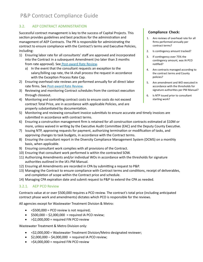# <span id="page-7-0"></span>3.2. AEP CONTRACT ADMINISTRATION

Successful contract management is key to the success of Capital Projects. This section provides guidelines and best practices for the administration and management of AEP Contracts. The PR is responsible for administrating the contract to ensure compliance with the Contract's terms and Executive Policies, including:

- 1) Ensuring labor rate for all consultants' staff are approved and incorporated into the Contract in a subsequent Amendment (no later than 3 months from rate approval). See Post-[award Rate Review](https://kc1.sharepoint.com/:b:/r/teams/FBOD/CC/pco/ContractAdminForms/Post%20Award%20Rates%20Review/post-award-rate-review-guidelines.pdf?csf=1&e=5cltt5).
	- a) In the event that the consultant requests an exception to the salary/billing cap rate, the IA shall process the request in accordance with the Exception Process Rate Cap.
- 2) Ensuring overhead rate reviews are performed annually for all direct labor rate firms. See Post-[award Rate Review](https://kc1.sharepoint.com/:b:/r/teams/FBOD/CC/pco/ContractAdminForms/Post%20Award%20Rates%20Review/post-award-rate-review-guidelines.pdf?csf=1&e=5cltt5).
- 3) Reviewing and monitoring Contract schedules from the contract execution through closeout.
- 4) Monitoring and controlling contract costs to ensure costs do not exceed contract Total Price, are in accordance with applicable Policies, and are properly substantiated by documentation.

#### 5) Monitoring and reviewing consultant invoice submittals to ensure accurate and timely invoices are submited in accordance with contract terms.

- 6) Ensuring a construction management firm is retained for all construction contracts estimated at \$10M or more, unless waived in writing by the Executive Audit Committee (EAC) and the Deputy County Executive.
- 7) Issuing NTP, approving requests for payment, authorizing termination or modification of tasks, and approving changes to task budgets, in accordance with the Contract terms.
- 8) Ensuring the consultant report in the Diversity Compliance Management System (DCMS) on a monthly basis, when applicable.
- 9) Ensuring consultant work complies with all provisions of the Contract.
- 10) Ensuring that consultant work performed is within the contracted SOW.
- 11) Authorizing Amendments and/or individual WOs in accordance with the thresholds for signature authorities outlined in the IA's PM Manual.
- 12) Ensuring all Amendments are recorded in CPA by submitting a request to P&P.
- 13) Managing the Contract to ensure compliance with Contract terms and conditions, receipt of deliverables, and completion of scope within the Contract price and schedule.
- 14) Managing CPA expiration date and submit request to P&P to extend the CPA as needed.

# <span id="page-7-1"></span>3.2.1. AEP PCO Review

Contracts value at or over \$500,000 requires a PCO review. The contract's total price (including an�cipated contract phase work and amendments) dictates which PCO is responsible for the reviews.

All agencies except for Wastewater Treatment Division & Metro:

- $\bullet \quad$  <\$500,000 = PCO review is not required;
- $\bullet$  \$500,000 \$2,000,000 = required IA PCO review;
- $\bullet$  >\$2,000,000 = required FIN PCO review

Wastewater Treatment & Metro Division only:

- <\$2,000,000 = Wastewater Treatment Division/Metro designated reviewer;
- $\bullet$  \$2,000,000 \$4,000,000 = required IA PCO review;
- $\bullet$  >\$4,000,000 = required FIN PCO review

- 1. Are reviews of overhead rate for all firms performed annually per contract terms?
- 2. Is contingency amount tracked?
- 3. If contingency over 75% the contingency amount, was IA PCO notified?
- 4. Are contracts managed according to the contract terms and County policies?
- 5. Are amendment and WO executed in accordance with the thresholds for signature authorities per PM Manual?
- 6. Is NTP issued prior to consultant starting work?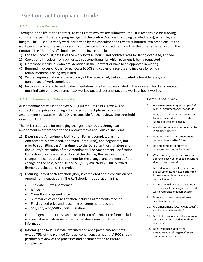# <span id="page-8-0"></span>3.2.2. Invoice Process

Throughout the life of the contract, as consultant invoices are submited, the PR is responsible for tracking consultant expenditures and progress against the contract's scope (including detailed tasks), schedule, and budget. The PR should verify work performed by the consultant and review submited invoices to ensure the work performed and the invoices are in compliance with contract terms within the timeframe set forth in the Contract. The PR or IA staff should ensure the invoices include:

- 1) For each individual, details of the work by task, hours, and contract rates for labor, overhead, and fee
- 2) Copies of all invoices from authorized subconsultants for which payment is being requested
- 3) Only those individuals who are identified in the Contract or have been approved in writing
- 4) Itemized invoices of Other Direct Costs (ODC) and copies of receipts and invoices for which reimbursement is being requested
- 5) Written representation of the accuracy of the rates billed, tasks completed, allowable rates, and percentage of work completed.
- 6) Invoice or comparable backup documentation for all employees listed in the invoice. This documentation must indicate employee name, task worked on, task description, date worked, hours worked.

# <span id="page-8-1"></span>3.2.3. Amendment Administration

AEP amendments value at or over \$150,000 requires a PCO review. The contract's total price (including an�cipated contract phase work and amendments) dictates which PCO is responsible for the reviews. See threshold in section 3.2.1.

The PR is responsible for managing changes to contracts through an amendment in accordance to the Contract terms and Policies, including:

- 1) Ensuring the Amendment Justification Form is completed as the Amendment is developed, approved (if required), and negotiated, but prior to submitting the Amendment to the Consultant for signature and the County's execution of the Amendment. The Amendment Justification Form should include a description of the change, the reason for the change, the contractual en�tlement for the change, and the effect of the change on the cost, schedule and SCS/SBE/WBE/MBE/UDBE cer�fied firm(s) participation of the project.
- 2) Ensuring Record of Negotiation (RoN) is completed at the conclusion of all Amendment negotiations. The RoN should include, at a minimum:
	- The date ICE was performed
	- ICE value
	- Consultant proposed price
	- Summaries of each negotiation including agreements reached
	- Final agreed price and reasoning on agreement reached
	- SCS/SBE/MBE/WBE/UDBE utilization

Other IA generated forms can be used in lieu of a RoN if the form includes a record of negotiation section with the above minimumly required information.

3) Informing the IA PCO if total executed and anticipated amendments exceed 75% of the planned Contract contingency amount. IA PCO should perform a review of the processes and documentation to ensure compliance.

- 1. Are amendments organized per PM Manual documentation standards?
- 2. Does each amendment have its own file and are related to the contract located in the same place?
- 3. Are all contract changes documented in an amendment?
- 4. Does work added via amendment conform to advertise SOW?
- 5. Do amendments conform to processes and authority limits?
- 6. When contingency is met, was preapproval received prior to consultant signing amendment?
- 7. Are independent cost estimates or critical estimate reviews performed for each amendment changing contract value?
- 8. Is there individual cost negotiation activity prior to final agreement and was it referenced/documented?
- 9. Does each amendment address schedule impacts?
- 10. Are amendment SOWs clear, specific, and include deliverables?
- 11. Are all documents dated, inclusive of contract numbers and amendment numbers?
- 12. Does evidence support the amendment work began after an amendment was issued?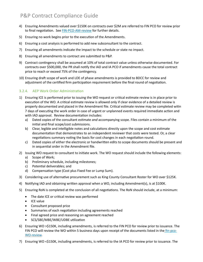- 4) Ensuring Amendments valued over \$150K on contracts over \$2M are referred to FIN PCO for review prior to final negotiation. See [FIN-PCO-AM-](https://kc1.sharepoint.com/teams/FBOD/CC/pco/PCO%20Contrat%20Reivew%20Materials/fin-pco-AM-review.docx?d=wf353ab34cec144ecb1c12ff0111f8c3f)review for further details.
- 5) Ensuring no work begins prior to the execution of the Amendments.
- 6) Ensuring a cost analysis is performed to add new subconsultant to the contract.
- 7) Ensuring all amendments indicate the impact to the schedule or state no impact.
- 8) Ensuring all amendments to contract are submited to P&P.
- 9) Contract contingency shall be assumed at 10% of total contract value unless otherwise documented. For contracts over \$500,000, the PR shall no�fy the IAD and IA PCO if amendments cause the total contract price to reach or exceed 75% of the contingency.
- 10) Ensuring draft scope of work and LOE of phase amendments is provided to BDCC for review and adjustment of the certified firm participation requirement before the final round of negotiation.

# <span id="page-9-0"></span>3.2.4. AEP Work Order Administration

- 1) Ensuring ICE is performed prior to issuing the WO request or critical estimate review is in place prior to execution of the WO. A critical estimate review is allowed only if clear evidence of a detailed review is properly documented and placed in the Amendment file. Critical estimate review may be completed witin 7 days of executing the work order in case of urgent or unplanned events required immediate action and with IAD approval. Review documentation includes:
	- a) Dated copies of the consultant estimate *and* accompanying scope. Files contain a minimum of the initial and final scope/cost submissions.
	- b) Clear, legible and intelligible notes and calculations directly upon the scope and cost estimate documentation that demonstrates to an independent reviewer that costs were tested. Or, a clear negotiations summary noting the basis for cost changes in each negotiation round.
	- c) Dated copies of either the electronic or handwriten edits to scope documents should be present and in sequential order in the Amendment file.
- 2) Issuing WO request to consultant to initiate work. The WO request should include the following elements:
	- a) Scope of Work;
	- b) Preliminary schedule, including milestones;
	- c) Potential deliverables; and
	- d) Compensation type (Cost plus Fixed Fee or Lump Sum).
- 3) Considering use of alternative procurement such as King County Consultant Roster for WO over \$125K.
- 4) Notifying IAD and obtaining written approval when a WO, including Amendment(s), is at \$100K.
- 5) Ensuring RoN is completed at the conclusion of all negotiations. The RoN should include, at a minimum:
	- The date ICE or critical review was performed
	- ICE value
	- Consultant proposed price
	- Summaries of each negotiation including agreements reached
	- Final agreed price and reasoning on agreement reached
	- SCS/SBE/MBE/WBE/UDBE utilization
- 6) Ensuring WO >\$150K, including amendments, is referred to the FIN PCO for review prior to issuance. The FIN PCO will review the WO within 5 business days upon receipt of the documents listed in the fin[-pco-](https://kc1.sharepoint.com/teams/FBOD/CC/pco/PCO%20Contrat%20Reivew%20Materials/fin-pco-wo-review.docx?d=w79c3abcfccaf420a9f6fd19d12448f64)WO-[review](https://kc1.sharepoint.com/teams/FBOD/CC/pco/PCO%20Contrat%20Reivew%20Materials/fin-pco-wo-review.docx?d=w79c3abcfccaf420a9f6fd19d12448f64).
- 7) Ensuring WO <\$150K, including amendments, is referred to the IA PCO for review prior to issuance. The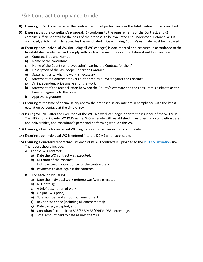- 8) Ensuring no WO is issued after the contract period of performance or the total contract price is reached.
- 9) Ensuring that the consultant's proposal: (1) conforms to the requirements of the Contract, and (2) contains sufficient detail for the basis of the proposal to be evaluated and understood. Before a WO is approved, a RoN that fully reconciles the negotiated price with King County's estimate must be prepared.
- 10) Ensuring each individual WO (including all WO changes) is documented and executed in accordance to the IA established guidelines and comply with contract terms. The documentation should also include:
	- a) Contract Title and Number
	- b) Name of the consultant
	- c) Name of the County employee administering the Contract for the IA
	- d) Description of the WO Scope under the Contract
	- e) Statement as to why the work is necessary
	- f) Statement of Contract amounts authorized by all WOs against the Contract
	- g) An independent price analysis for the work
	- h) Statement of the reconciliation between the County's estimate and the consultant's estimate as the basis for agreeing to the price
	- i) Approval signatures
- 11) Ensuring at the time of annual salary review the proposed salary rate are in compliance with the latest escalation percentage at the time of rev
- 12) Issuing WO NTP after the execution of the WO. No work can begin prior to the issuance of the WO NTP. The NTP should include WO PM's name; WO schedule with established milestones, task completion dates, and deliverables; and consultant's personnel performing work on the WO.
- 13) Ensuring all work for an issued WO begins prior to the contract expiration date.
- 14) Ensuring each individual WO is entered into the DCMS when applicable.
- 15) Ensuring a quarterly report that lists each of its WO contracts is uploaded to the PCO Collaboration site. The report should include:
	- A. For the WO contract:
		- a) Date the WO contract was executed;
		- b) Duration of the contract;
		- c) Not to exceed contract price for the contract; and
		- d) Payments to date against the contract.
	- B. For each individual WO:
		- a) Date the individual work order(s) was/were executed;
		- b) NTP date(s);
		- c) A brief description of work;
		- d) Original WO price;
		- e) Total number and amount of amendments;
		- f) Revised WO price (including all amendments);
		- g) Date closed/accepted; and
		- h) Consultant's commited SCS/SBE/MBE/WBE/UDBE percentage.
		- i) Total amount paid to date against the WO.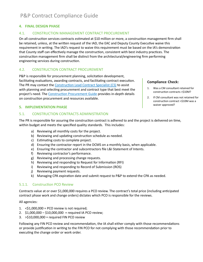### <span id="page-11-0"></span>**4. FINAL DESIGN PHASE**

#### <span id="page-11-1"></span>4.1. CONSTRUCTION MANAGEMENT CONTRACT PROCUREMENT

On all construction services contracts estimated at \$10 million or more, a construction management firm shall be retained, unless, at the written request of the IAD, the EAC and Deputy County Executive waive this requirement in writing. The IAD's request to waive this requirement must be based on the IA's demonstration that County staff can effectively manage the construction, consistent with best industry practices. The construction management firm shall be distinct from the architectural/engineering firm performing engineering services during construction.

#### <span id="page-11-2"></span>4.2. CONSTRUCTION CONTRACT PROCUREMENT

P&P is responsible for procurement planning, solicitation development, facilitating evaluations, awarding contracts, and facilitating contract execution. The PR may contact the Construction Lead Contract Specialist (CS) to assist with planning and selecting procurement and contract type that best meet the project's need. The Construction Procurement Guide provides in-depth details on construction procurement and resources available.

#### <span id="page-11-3"></span>**5. IMPLEMENTATION PHASE**

#### <span id="page-11-4"></span>5.1. CONSTRUCTION CONTRACTS ADMINISTRATION

<span id="page-11-7"></span>The PR is responsible for assuring the construction contract is adhered to and the project is delivered on time, within budget and meets the specified quality standards. This includes:

- a) Reviewing all monthly costs for the project.
- b) Reviewing and updating construction schedule as needed.
- c) Estimating costs to complete project.
- d) Ensuring the contractor report in the DCMS on a monthly basis, when applicable.
- e) Ensuring the contractor and subcontractors file L&I Statement of Intents.
- f) Reviewing contractor's performance.
- g) Reviewing and processing change requests.
- h) Reviewing and responding to Request for Information (RFI)
- i) Reviewing and responding to Record of Submission (ROS)
- j) Reviewing payment requests.
- k) Managing CPA expiration date and submit request to P&P to extend the CPA as needed.

#### <span id="page-11-5"></span>5.1.1. Construction PCO Review

Contracts value at or over \$1,000,000 requires a PCO review. The contract's total price (including an�cipated contract phase work and change orders) dictates which PCO is responsible for the reviews.

#### All agencies:

- 1.  $\leq$ \$1,000,000 = PCO review is not required;
- 2. \$1,000,000 \$10,000,000 = required IA PCO review;
- 3. >\$10,000,000 = required FIN PCO review

Following any FIN PCO review and recommendation, the IA shall either comply with those recommendations or provide justification in writing to the FIN PCO for not complying with those recommendation prior to executing the change order or work order.

- <span id="page-11-6"></span>1. Was a CM consultant retained for construction contracts >\$10M?
- 2. If CM consultant was not retained for construction contract >\$10M was a waiver approved?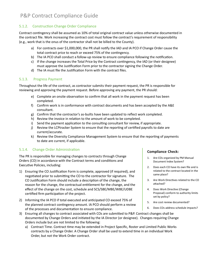# <span id="page-12-0"></span>5.1.2. Construction Change Order Compliance

Contract contingency shall be assumed as 10% of total original contract value unless otherwise documented in the contract file. Work increasing the contract cost must follow the contract's requirement of responsibility (e.g., work that is the onus of the contractor shall not be billed to the County).

- a) For contracts over \$1,000,000, the PR shall notify the IAD and IA PCO if Change Order cause the total contract price to reach or exceed 75% of the contingency.
- b) The IA PCO shall conduct a follow-up review to ensure compliance following the notification.
- c) If the change increases the Total Price by the Contract contingency, the IAD (or their designee) must approve the Justification Form prior to the contractor signing the Change Order.
- <span id="page-12-1"></span>d) The IA must file the Justification Form with the contract files.

# 5.1.3. Progress Payment

Throughout the life of the contract, as contractor submits their payment request, the PR is responsible for reviewing and approving the payment request. Before approving any payment, the PR should:

- e) Complete an onsite observation to confirm that all work in the payment request has been completed.
- f) Confirm work is in conformance with contract documents and has been accepted by the A&E consultant.
- g) Confirm that the contractor's as-builts have been updated to reflect work completed.
- h) Review the invoice in relation to the amount of work to be completed.
- i) Send the payment application to the consulting consultant for review, if appropriate.
- j) Review the LCPtracker System to ensure that the reporting of certified payrolls to date are current/accurate.
- k) Review the Diversity Compliance Management System to ensure that the reporting of payments to date are current, if applicable.

# <span id="page-12-2"></span>5.1.4. Change Order Administration

The PR is responsible for managing changes to contracts through Change Orders (CO) in accordance with the Contract terms and conditions and Executive Policies, including:

- 1) Ensuring the CO Justification Form is complete, approved (if required), and negotiated prior to submitting the CO to the contractor for signature. The CO Justification Form should include a description of the change, the reason for the change, the contractual entitlement for the change, and the effect of the change on the cost, schedule and SCS/SBE/MBE/WBE/UDBE certified firm participation of the project.
- 2) Informing the IA PCO if total executed and anticipated CO exceed 75% of the planned contract contingency amount. IA PCO should perform a review of the processes and documentation to ensure compliance.

### 3) Ensuring all changes to contract associated with COs are submited to P&P. Contract changes shall be documented by Change Orders and initiated by the IA Director (or designee). Changes requiring Change Orders include but are not limited to the following:

a) Contract Time. Contract time may be extended in Project Specific, Roster and Limited Public Works contracts by a Change Order. A Change Order shall be used to extend time in an individual Work Order, but not the Work Order contract.

- 1. Are COs organized by PM Manual Document Index System?
- 2. Does each CO have its own file and is related to the contract located in the same place?
- 3. Are Work Directives related to the CO attached?
- 4. Does Work Directive (Change Proposal) conform to authority limits set by policy?
- 5. Are cost review documented?
- 6. Does COs address schedule impacts?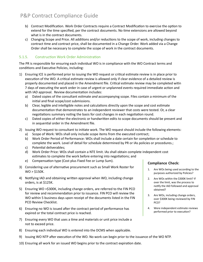- b) Contract Modification. Work Order Contracts require a Contract Modification to exercise the option to extend for the time specified, per the contract documents. No time extensions are allowed beyond what is in the contract documents.
- c) Changing Scope and Price. All additions and/or reductions to the scope of work, including changes to contract �me and contract price, shall be documented in a Change Order. Work added via a Change Order shall be necessary to complete the scope of work in the contract documents.

# <span id="page-13-0"></span>5.1.5. Construction Work Order Administration

The PR is responsible for ensuring each individual WO is in compliance with the WO Contract terms and conditions and Executive Policies, including:

- 1) Ensuring ICE is performed prior to issuing the WO request or critical estimate review is in place prior to execution of the WO. A critical estimate review is allowed only if clear evidence of a detailed review is properly documented and placed in the Amendment file. Critical estimate review may be completed witin 7 days of executing the work order in case of urgent or unplanned events required immediate action and with IAD approval. Review documentation includes:
	- a) Dated copies of the consultant estimate *and* accompanying scope. Files contain a minimum of the initial and final scope/cost submissions.
	- b) Clear, legible and intelligible notes and calculations directly upon the scope and cost estimate documentation that demonstrates to an independent reviewer that costs were tested. Or, a clear negotiations summary noting the basis for cost changes in each negotiation round.
	- c) Dated copies of either the electronic or handwriten edits to scope documents should be present and in sequential order in the Amendment file.
- 2) Issuing WO request to consultant to ini�ate work. The WO request should include the following elements:
	- a) Scope of Work: WOs shall only include scope items from the executed contract;
	- b) Work Order Period of Performance: WOs shall include a date certain for completion or schedule to complete the work. Level of detail for schedule determined by PR or IAs policies or procedures.;
	- c) Potential deliverables;
	- d) Work Order Price: WOs shall contain a NTE limit. IAs shall obtain complete independent cost estimates to complete the work before entering into negotiations; and
	- e) Compensation type (Cost plus Fixed Fee or Lump Sum).
- 3) Considering use of alternative procurement such as Small Work Roster for  $WO > $150K.$
- 4) Notifying IAD and obtaining written approval when WO, including change orders, is at \$125K.
- 5) Ensuring WO >\$300K, including change orders, are referred to the FIN PCO for review and recommendation prior to issuance. FIN PCO will review the WO within 5 business days upon receipt of the documents listed in the FIN PCO Review Checklist.
- 6) Ensuring no WO is issued after the contract period of performance has expired or the total contract price is reached.
- 7) Ensuring every WO that uses a time and materials or unit price include a not to exceed price.
- 8) Ensuring each individual WO is entered into the DCMS when applicable.
- 9) Issuing WO NTP after execution of the WO. No work can begin prior to the issuance of the WO NTP.
- 10) Ensuring all work for an issued WO begins prior to the contract expiration date.

- 1. Are WOs being used according to the purposes authorized by Policies?
- 2. Are WOs within the \$300K limit? If over the limit, was the process to notify the IAD followed and approval obtained?
- 3. Are WOs, including change orders, over \$300K being reviewed by FIN PCO?
- 4. Were independent estimate reviews performed prior to execution?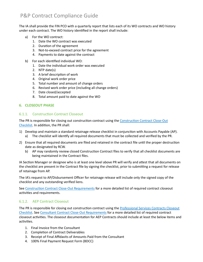The IA shall provide the FIN PCO with a quarterly report that lists each of its WO contracts and WO history under each contract. The WO history identified in the report shall include:

- a) For the WO contract:
	- 1. Date the WO contract was executed
	- 2. Duration of the agreement
	- 3. Not-to-exceed contract price for the agreement
	- 4. Payments to date against the contract
- b) For each identified individual WO:
	- 1. Date the individual work order was executed
	- 2. NTP date(s)
	- 3. A brief description of work
	- 4. Original work order price
	- 5. Total number and amount of change orders
	- 6. Revised work order price (including all change orders)
	- 7. Date closed/accepted
	- 8. Total amount paid to date against the WO

#### <span id="page-14-1"></span><span id="page-14-0"></span>**6. CLOSEOUT PHASE**

#### 6.1.1. Construction Contract Closeout

The PR is responsible for closing out construction contract using the Construction Contract Close-Out [Checklist.](https://kc1.sharepoint.com/:w:/r/teams/FBOD/CC/pco/ContractAdminForms/Compliance%20Forms/Appendix%20A_Construction%20Closeout%20Process_Final_CON7-5-2-%20082113.docx?d=w6b36e38f6d8141dfa1a68201704b5b63&csf=1) In addi�on, the PR shall:

- 1) Develop and maintain a standard retainage release checklist in conjunction with Accounts Payable (AP). a) The checklist will identify all required documents that must be collected and verified by the PR.
- 2) Ensure that all required documents are filed and retained in the contract file until the proper destruction date as designated by RCW.
	- b) AP may randomly review closed Construction Contract files to verify that all checklist documents are being maintained in the Contract files.

IA Section Manager or designee who is at least one level above PR will verify and attest that all documents on the checklist are present in the Contract file by signing the checklist, prior to submitting a request for release of retainage from AP.

The IA's request to AP/Disbursement Officer for retainage release will include only the signed copy of the checklist and any outstanding verified liens.

See Construction Contract Close-Out Requirements for a more detailed list of required contract closeout activities and requirements.

#### <span id="page-14-2"></span>6.1.2. AEP Contract Closeout

The PR is responsible for closing out construction contract using the Professional Services Contracts Closeout [Checklist](https://kc1.sharepoint.com/:w:/r/teams/FBOD/CC/pco/ContractAdminForms/Compliance%20Forms/Appendix%20B_Professional%20Services%20Contract%20Closeout%20Std%20Template_Final%20_CON7-5-2-082113.docx?d=wf2386127c0494219bd0ae57346c7b077&csf=1). See [Consultant Contract Close-](https://kc1.sharepoint.com/sites/DNRP/Documents/ConsultantContractRequirementsMatrix2014.pdf)Out Requirements for a more detailed list of required contract closeout activities. The closeout documentation for AEP Contracts should include at least the below items and activities.

- 1. Final Invoice from the Consultant
- 2. Completion of Contract Deliverables
- 3. Receipt of Final Affidavits of Amounts Paid from the Consultant
- 4. 100% Final Payment Request Form (BDCC)